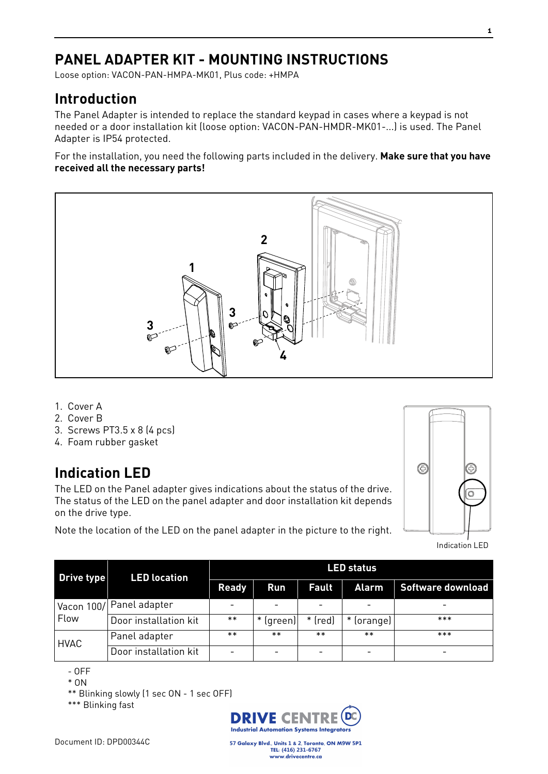## **PANEL ADAPTER KIT - MOUNTING INSTRUCTIONS**

Loose option: VACON-PAN-HMPA-MK01, Plus code: +HMPA

## **Introduction**

The Panel Adapter is intended to replace the standard keypad in cases where a keypad is not needed or a door installation kit (loose option: VACON-PAN-HMDR-MK01-...) is used. The Panel Adapter is IP54 protected.

For the installation, you need the following parts included in the delivery. **Make sure that you have received all the necessary parts!**



- 1. Cover A
- 2. Cover B
- 3. Screws PT3.5 x 8 (4 pcs)
- 4. Foam rubber gasket

## **Indication LED**

The LED on the Panel adapter gives indications about the status of the drive. The status of the LED on the panel adapter and door installation kit depends on the drive type.

Note the location of the LED on the panel adapter in the picture to the right.



Indication LED

| Drive type           | <b>LED</b> location   | <b>LED status</b> |           |              |              |                   |
|----------------------|-----------------------|-------------------|-----------|--------------|--------------|-------------------|
|                      |                       | <b>Ready</b>      | Run       | <b>Fault</b> | <b>Alarm</b> | Software download |
| Vacon $100/$<br>Flow | Panel adapter         |                   |           |              |              |                   |
|                      | Door installation kit | $***$             | * (green) | $*$ (red)    | * (orange)   | $***$             |
| <b>HVAC</b>          | Panel adapter         | $***$             | $***$     | $***$        | $***$        | $***$             |
|                      | Door installation kit |                   |           |              |              |                   |

- OFF

\* ON

\*\* Blinking slowly (1 sec ON - 1 sec OFF)

\*\*\* Blinking fast



57 Galaxy Blvd., Units 1 & 2, Toronto, ON M9W 5P1 TEL: (416) 231-6767 www.drivecentre.ca